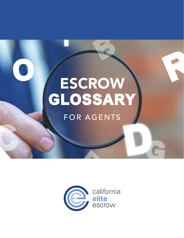# ESCROW<br>GLOSSARY

## FOR AGENTS

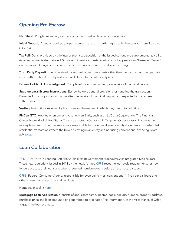### Opening Pre-Escrow

Net Sheet: Rough preliminary estimate provided to seller detailing closing costs.

Initial Deposit: Amount required to open escrow in the form parties agree to in the contract. Item 3 on the CAR RPA.

Tax Roll: Detail provided by title insurer that lists disposition of the issued current and supplemental tax bills. Assessed owner is also detailed. Short-term investors or estates who do not appear as an "Assessed Owner" on the tax roll during escrow can expect to owe supplemental tax bills post-closing.

Third Party Deposit: Funds received by escrow holder from a party other than the contracted principal. We need authorization from depositor to credit funds to the intended party.

**Escrow Holder Acknowledgment:** Completed by escrow holder upon receipt of the initial deposit.

Supplemental Escrow Instructions: Escrow holders general provisions for handling the transaction. Presented to principals for signature after the receipt of the initial deposit and expected to be returned within 5 days.

Vesting: Instructions received by borrowers on the manner in which they intend to hold title.

FinCen GTO: Applies when buyer is vesting in an Entity such as an LLC or a Corporation. The Financial Crimes Network of United States Treasury enacted a Geographic Targeting Order to assist in combatting money laundering. The title insurers are responsible for collecting buyer identity documents for certain 1-4 residential transactions where the buyer is vesting in an entity and not using conventional financing. More info [here](https://www.fincen.gov/news/news-releases/fincen-reissues-real-estate-geographic-targeting-orders-12-metropolitan-areas-2).

#### Loan Collaboration

TRID: TILA (Truth in Lending Act) RESPA (Real Estate Settlement Procedures Act Integrated Disclosures). These new regulations issued in 2014 by the newly formed [CFPB](https://www.consumerfinance.gov/) reset the loan cycle requirements for how lenders process their loans and what is required from borrowers before an estimate is issued.

[CFPB](https://www.consumerfinance.gov/): Federal Consumer Agency responsible for overseeing most conventional 1-4 residential loans and other consumer related financial products.

Homebuyer toolkit [here](https://www.consumerfinance.gov/owning-a-home/).

Mortgage Loan Application: Consists of applicants name, income, social security number, property address, purchase price and loan amount being submitted to originator. This information, at the Acceptance of Offer, triggers the loan estimate.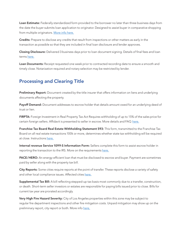Loan Estimate: Federally standardized form provided to the borrower no later than three business days from the date the buyer submits loan application to originator. Designed to assist buyer in comparative shopping from multiple originators. [More info here.](https://www.consumerfinance.gov/policy-compliance/know-you-owe-mortgages/new-disclosures-streamline-process/)

Credits: Prepare to disclose any credits that result from inspections or other matters as early in the transaction as possible so that they are included in final loan disclosure and lender approves.

Closing Disclosure: Delivered 3 business days prior to loan document signing. Details of final fees and loan terms [here.](https://www.consumerfinance.gov/owning-a-home/closing-disclosure/)

Loan Documents: Receipt requested one week prior to contracted recording date to ensure a smooth and timely close. Notarization required and notary selection may be restricted by lender.

#### Processing and Clearing Title

Preliminary Report: Document created by the title insurer that offers information on liens and underlying documents affecting the property.

Payoff Demand: Document addresses to escrow holder that details amount owed for an underlying deed of trust or lien.

FIRPTA: Foreign Investment in Real Property Tax Act Requires withholding of up to 15% of the sales price for certain foreign sellers. Affidavit is presented to seller in escrow. More details and FAQ [here.](https://www.irs.gov/individuals/international-taxpayers/firpta-withholding)

Franchise Tax Board Real Estate Withholding Statement 593: This form, transmitted to the Franchise Tax Board on all real estate transactions 100k or more, determines whether state tax withholding will be required at close. Instructions [here.](https://www.ftb.ca.gov/forms/2021/2021-593-instructions.html)

Internal revenue Service 1099-S Information Form: Sellers complete this form to assist escrow holder in reporting the transaction to the IRS. More on the requirements [here.](https://www.irs.gov/forms-pubs/about-form-1099-s)

PACE/HERO: An energy-efficient loan that must be disclosed to escrow and buyer. Payment are sometimes paid by seller along with the property tax bill.

City Reports: Some cities require reports at the point of transfer. These reports disclose a variety of safety and other local compliance issues. Affected cities [here.](https://glenoaksescrow.com/portfolio-items/city-reports/)

Supplemental Tax Bill: A bill reflecting stepped-up tax basis most commonly due to a transfer, construction, or death. Short-term seller investors or estates are responsible for paying bills issued prior to close. Bills for current tax year are prorated accordingly.

Very High Fire Hazard Severity: City of Los Angeles properties within this zone may be subject to regular fire department inspections and other fire mitigation costs. Unpaid mitigation may show up on the preliminary report, city report or both. More info [here.](https://gis.data.ca.gov/datasets/789d5286736248f69c4515c04f58f414)